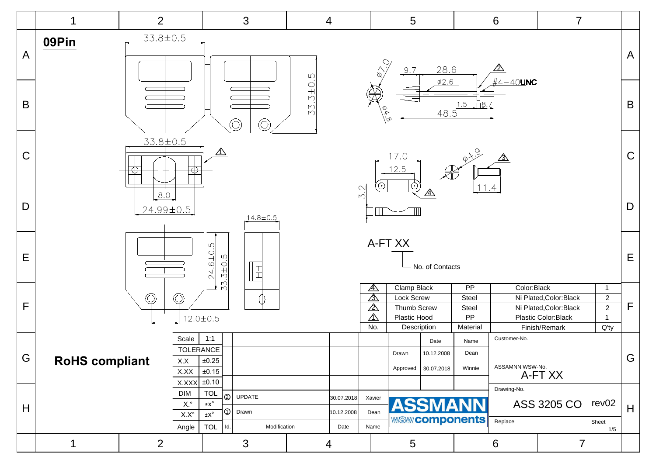|                | 1                                                                    | 2                                |                                        | 3                                                                    |                        | $\overline{4}$     |                                              | 5                                       |               |                             | $6\phantom{1}6$   | $\overline{7}$                       |                                  |              |
|----------------|----------------------------------------------------------------------|----------------------------------|----------------------------------------|----------------------------------------------------------------------|------------------------|--------------------|----------------------------------------------|-----------------------------------------|---------------|-----------------------------|-------------------|--------------------------------------|----------------------------------|--------------|
| $\overline{A}$ | 09Pin                                                                | 33.8±0.5                         |                                        |                                                                      | $\mathsf{L}\mathsf{O}$ |                    | $\begin{matrix} 1 & 1 \\ 1 & 1 \end{matrix}$ | 9.7                                     | 28.6          |                             | ⚠                 |                                      |                                  | $\mathsf{A}$ |
| B              |                                                                      |                                  |                                        | $\circledcirc$<br>(O)                                                | $33.3 + 0.$            |                    | $\frac{\theta}{\phi}$                        |                                         | $\varphi$ 2.6 | $-15$<br>$-18.7$<br>$-18.7$ | $\#4-40$ UNC      |                                      |                                  | $\mathsf B$  |
| $\mathsf C$    |                                                                      | 33.8±0.5                         |                                        | $\triangle$                                                          |                        |                    |                                              | 17.0<br>12.5                            |               | $\phi A.9$                  | $\mathbb{A}$      |                                      |                                  | $\mathsf C$  |
| D              |                                                                      | 8.0<br>24.99±0.5                 |                                        | 14.8±0.5                                                             |                        |                    | 3.2                                          | ⊙                                       | ⚠             | 11.4                        |                   |                                      |                                  | $\mathsf D$  |
| E              | A-FT XX<br>24.6±0.5<br>33.3±0.5<br>- No. of Contacts<br>$\mathbb{E}$ |                                  |                                        |                                                                      |                        |                    |                                              |                                         |               |                             |                   | $\mathsf E$                          |                                  |              |
|                |                                                                      | $\bigcirc$                       |                                        |                                                                      |                        |                    | $\mathbb{A}$<br>⚠                            | Clamp Black<br>Lock Screw               |               | $\overline{PP}$<br>Steel    | Color:Black       | Ni Plated, Color: Black              | $\overline{1}$<br>$\overline{2}$ |              |
| $\mathsf{F}$   |                                                                      |                                  | Ç                                      |                                                                      |                        |                    | $\overline{\mathbb{A}}$                      | Thumb Screw                             |               | Steel                       |                   | Ni Plated, Color: Black              | $\sqrt{2}$                       | $\mathsf{F}$ |
|                |                                                                      |                                  | $12.0 \pm 0.5$                         |                                                                      |                        |                    | $\mathbb{A}$<br>No.                          | Plastic Hood<br>Description             |               | PP<br>Material              |                   | Plastic Color:Black<br>Finish/Remark | $\mathbf{1}$<br>$Q'$ ty          |              |
|                |                                                                      |                                  | Scale                                  | 1:1                                                                  |                        |                    |                                              |                                         | Date          | Name                        | Customer-No.      |                                      |                                  |              |
| G              |                                                                      |                                  | <b>TOLERANCE</b>                       |                                                                      |                        |                    |                                              | Drawn                                   | 10.12.2008    | Dean                        |                   |                                      |                                  | G            |
|                | <b>RoHS compliant</b><br>$\pm 0.25$<br>X.X<br>$\pm 0.15$<br>X.XX     |                                  |                                        |                                                                      |                        |                    |                                              | Approved                                | 30.07.2018    | Winnie                      | ASSAMNN WSW-No.   | A-FT XX                              |                                  |              |
|                |                                                                      |                                  | X.XXX<br>DIM                           | ±0.10<br><b>TOL</b>                                                  |                        |                    |                                              |                                         |               |                             | Drawing-No.       |                                      |                                  |              |
| H              |                                                                      |                                  | $\mathsf{X}.^\circ$                    | $^{\circledR}$<br>UPDATE<br>$\pm X^\circ$<br>$\circledcirc$<br>Drawn |                        | 30.07.2018         | Xavier<br><b>ASSMANN</b>                     |                                         |               | ASS 3205 CO                 | rev <sub>02</sub> | H                                    |                                  |              |
|                |                                                                      |                                  | $\mathsf{X}.\mathsf{X}^\circ$<br>Angle | $\pm\mathsf{X}^\circ$<br>$ $ Id.<br><b>TOL</b><br>Modification       |                        | 10.12.2008<br>Date | Dean<br>Name                                 |                                         |               | <b>WSW/Components</b>       | Replace           |                                      | Sheet<br>1/5                     |              |
|                | 1                                                                    | $\overline{2}$<br>$\mathfrak{S}$ |                                        |                                                                      |                        | 4                  |                                              | $\sqrt{5}$<br>$\,6\,$<br>$\overline{7}$ |               |                             |                   |                                      |                                  |              |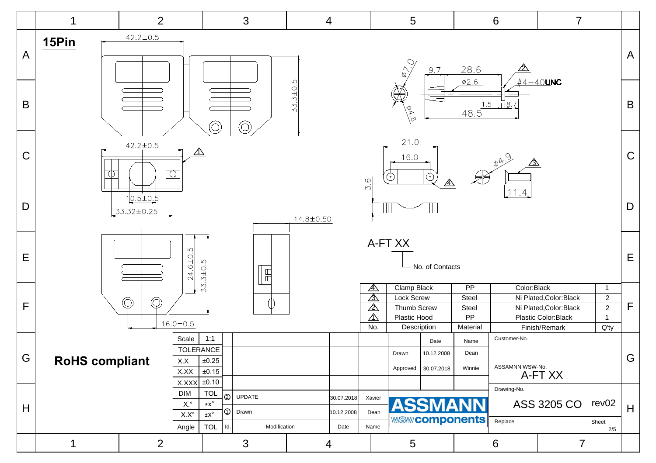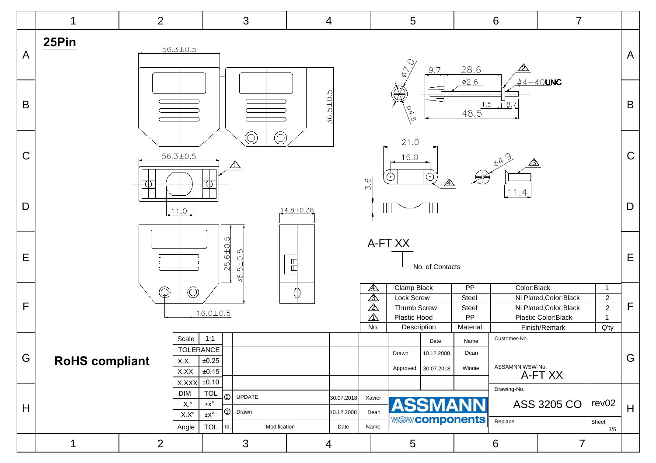|                |                                                                                            | $\overline{2}$ |                                                                      |                                                                                                                             | 3                               |  | $\overline{4}$                   |                                                  | 5                                                        |                                         |                                                      | $6\,$                           | $\overline{7}$                                                            |                                                                |              |
|----------------|--------------------------------------------------------------------------------------------|----------------|----------------------------------------------------------------------|-----------------------------------------------------------------------------------------------------------------------------|---------------------------------|--|----------------------------------|--------------------------------------------------|----------------------------------------------------------|-----------------------------------------|------------------------------------------------------|---------------------------------|---------------------------------------------------------------------------|----------------------------------------------------------------|--------------|
| $\overline{A}$ | 25Pin                                                                                      |                | $56.3 \pm 0.5$                                                       |                                                                                                                             |                                 |  |                                  |                                                  | $\begin{matrix} 1 & 1 \\ 1 & 1 \\ 1 & 1 \end{matrix}$    | 9.7                                     | 28.6                                                 | <u>/2\</u>                      |                                                                           |                                                                | $\mathsf{A}$ |
| $\mathsf B$    | $4 - 40$ UNC<br>Ø2.6<br>36.5±0.5<br>$\frac{1.5}{48.5}$<br>$\sqrt{8.7}$<br>्<br>१<br>.<br>တ |                |                                                                      |                                                                                                                             |                                 |  |                                  |                                                  |                                                          |                                         | $\mathsf B$                                          |                                 |                                                                           |                                                                |              |
| $\mathsf C$    |                                                                                            |                | $56.3 \pm 0.5$                                                       |                                                                                                                             | $\bigcirc$<br>O)<br>$\triangle$ |  |                                  |                                                  | 21.0<br>16.0                                             | ⚠                                       |                                                      | $\phi A.9$<br>⚠                 |                                                                           |                                                                | $\mathsf C$  |
| D              | $\oplus$<br>14.8±0.38<br>11.0                                                              |                |                                                                      |                                                                                                                             |                                 |  |                                  | 5.6<br>11.4                                      |                                                          |                                         |                                                      |                                 |                                                                           |                                                                | D            |
| E              | $25.6 \pm 0.5$<br>36.5±0.5<br>$\begin{array}{c} \square \end{array}$                       |                |                                                                      |                                                                                                                             |                                 |  |                                  |                                                  | A-FT XX                                                  | - No. of Contacts                       |                                                      |                                 |                                                                           |                                                                | $\mathsf E$  |
| F              |                                                                                            | $\mathbb{Q}$   |                                                                      | $16.0 \pm 0.5$                                                                                                              |                                 |  |                                  | $\mathbb{A}$<br>$\mathbb{A}$<br>⚠<br>$\triangle$ | Clamp Black<br>Lock Screw<br>Thumb Screw<br>Plastic Hood |                                         | $\overline{PP}$<br>Steel<br>Steel<br>$\overline{PP}$ | Color:Black                     | Ni Plated, Color: Black<br>Ni Plated, Color: Black<br>Plastic Color:Black | $\overline{1}$<br>$\overline{2}$<br>$\sqrt{2}$<br>$\mathbf{1}$ | $\mathsf F$  |
| G              | <b>RoHS compliant</b>                                                                      |                | Scale<br><b>TOLERANCE</b><br>X.X<br>X.XX                             | 1:1<br>$\pm 0.25$<br>$\pm 0.15$                                                                                             |                                 |  |                                  | No.                                              | Description<br>Drawn<br>Approved                         | Date<br>10.12.2008<br>30.07.2018        | Material<br>Name<br>Dean<br>Winnie                   | Customer-No.<br>ASSAMNN WSW-No. | Finish/Remark<br>A-FT XX                                                  | $Q'$ ty                                                        | G            |
| H              |                                                                                            |                | X.XXX<br><b>DIM</b><br>$\mathsf{X}.^\circ$<br>$X.X^{\circ}$<br>Angle | $\pm 0.10$<br><b>TOL</b><br>$ \oslash$<br>$\pm X^\circ$<br>$ \circlearrowright $<br>$\pm\mathsf{X}^\circ$<br>$ $ Id.<br>TOL | UPDATE<br>Drawn<br>Modification |  | 30.07.2018<br>10.12.2008<br>Date | Xavier<br>Dean<br>Name                           |                                                          | <b>ASSMANN</b><br><b>WSW/Components</b> |                                                      | Drawing-No.<br>Replace          | ASS 3205 CO                                                               | rev <sub>02</sub><br>Sheet<br>3/5                              | H            |
|                | 1                                                                                          | $\overline{2}$ |                                                                      |                                                                                                                             | $\mathfrak{S}$                  |  | 4                                | $\overline{5}$                                   |                                                          | $6\phantom{1}6$                         |                                                      | $\overline{7}$                  |                                                                           |                                                                |              |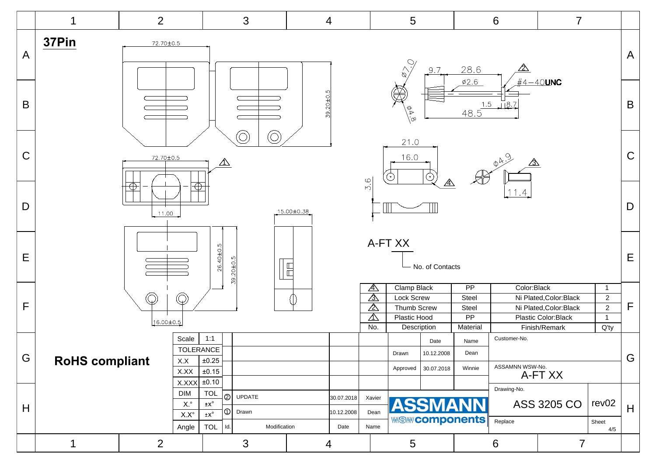|              |              | 2                                            |                         |                                      | 3                                           |                  | 4                    |                    | 5                           |                 |                                     | 6<br>$\overline{7}$ |                                      |                                  |                |
|--------------|--------------|----------------------------------------------|-------------------------|--------------------------------------|---------------------------------------------|------------------|----------------------|--------------------|-----------------------------|-----------------|-------------------------------------|---------------------|--------------------------------------|----------------------------------|----------------|
| $\mathsf{A}$ | 37Pin        | 72.70±0.5                                    |                         |                                      |                                             |                  |                      |                    | $\frac{1}{\sqrt{2}}$        | 9.7             | 28.6                                | ⚠                   |                                      |                                  | $\overline{A}$ |
| $\mathsf B$  |              |                                              |                         |                                      |                                             |                  | 39.20±0.5            |                    | $\frac{4}{9}$               |                 | $\varphi$ 2.6<br>$\frac{1.5}{48.5}$ | $\sqrt{8.7}$        | $\#4-40$ UNC                         |                                  | $\mathsf B$    |
| $\mathsf C$  |              | 72.70±0.5                                    |                         | $\triangle$                          | $\bigcirc$<br>Ć                             |                  |                      |                    | 21.0<br>16.0                |                 |                                     | $\phi A.9$<br>⚠     |                                      |                                  | $\mathbf C$    |
| D            |              | 11.00                                        |                         |                                      |                                             | $15.00 \pm 0.38$ |                      | 3.6                |                             |                 |                                     | 11.4                |                                      |                                  | $\mathsf D$    |
| E            |              | $26.40 \pm 0.5$<br>39.20±0.5<br>$\mathbb{E}$ |                         |                                      |                                             |                  |                      |                    |                             | No. of Contacts |                                     |                     |                                      |                                  | E              |
|              |              |                                              | $\mathbb{Q}$            |                                      |                                             |                  |                      | ⚠<br>⚠             | Clamp Black<br>Lock Screw   |                 | $\overline{PP}$<br>Steel            | Color:Black         | Ni Plated, Color: Black              | $\overline{1}$<br>$\overline{2}$ |                |
| F            | $\mathbb{Q}$ |                                              |                         |                                      |                                             |                  |                      | $\Delta$           | Thumb Screw                 |                 | Steel                               |                     | Ni Plated, Color: Black              | $\overline{2}$                   | $\mathsf{F}$   |
|              |              | 16.00±0.5                                    |                         |                                      |                                             |                  |                      | $\triangle$<br>No. | Plastic Hood<br>Description |                 | $\overline{PP}$<br>Material         |                     | Plastic Color:Black<br>Finish/Remark | $\mathbf{1}$<br>$Q'$ ty          |                |
|              |              |                                              | Scale                   | 1:1                                  |                                             |                  |                      |                    |                             | Date            | Name                                | Customer-No.        |                                      |                                  |                |
| G            |              |                                              | <b>TOLERANCE</b><br>X.X | $\pm 0.25$                           |                                             |                  |                      |                    | Drawn                       | 10.12.2008      | Dean                                |                     |                                      |                                  | G              |
|              |              | <b>RoHS compliant</b><br>$\pm 0.15$<br>X.XX  |                         |                                      |                                             |                  |                      |                    | Approved                    | 30.07.2018      | Winnie                              | ASSAMNN WSW-No.     | A-FT XX                              |                                  |                |
|              |              |                                              | X.XXX<br><b>DIM</b>     | $\pm 0.10$<br><b>TOL</b>             |                                             |                  |                      |                    |                             |                 |                                     | Drawing-No.         |                                      |                                  |                |
| H            |              |                                              | $X^{\circ}$             | $\pm x^{\circ}$                      | $^{\circ}$<br>UPDATE<br>$^{\circ}$<br>Drawn |                  | 30.07.2018           | Xavier             |                             |                 | <b>ASSMANN</b>                      |                     | ASS 3205 CO                          | rev <sub>02</sub>                | H              |
|              |              |                                              | $X.X^{\circ}$<br>Angle  | $\pm \mathsf{X}^\circ$<br><b>TOL</b> | Modification<br>Id.                         |                  | 10.12.2008<br>Date   | Dean<br>Name       |                             |                 | <b>WAS WAY COMPONENTS</b>           | Replace             |                                      | Sheet                            |                |
|              | 1            | $\overline{2}$<br>$\mathfrak{S}$             |                         |                                      |                                             | 4                | $6\phantom{1}6$<br>5 |                    |                             | $\overline{7}$  | 4/5                                 |                     |                                      |                                  |                |